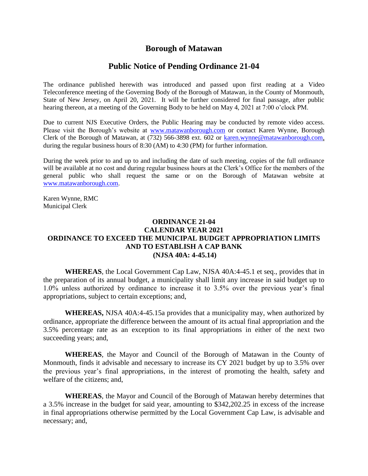## **Borough of Matawan**

## **Public Notice of Pending Ordinance 21-04**

The ordinance published herewith was introduced and passed upon first reading at a Video Teleconference meeting of the Governing Body of the Borough of Matawan, in the County of Monmouth, State of New Jersey, on April 20, 2021. It will be further considered for final passage, after public hearing thereon, at a meeting of the Governing Body to be held on May 4, 2021 at 7:00 o'clock PM.

Due to current NJS Executive Orders, the Public Hearing may be conducted by remote video access. Please visit the Borough's website at [www.matawanborough.com](http://www.matawanborough.com/) or contact Karen Wynne, Borough Clerk of the Borough of Matawan, at (732) 566-3898 ext. 602 or [karen.wynne@matawanborough.com,](mailto:karen.wynne@matawanborough.com) during the regular business hours of 8:30 (AM) to 4:30 (PM) for further information.

During the week prior to and up to and including the date of such meeting, copies of the full ordinance will be available at no cost and during regular business hours at the Clerk's Office for the members of the general public who shall request the same or on the Borough of Matawan website at [www.matawanborough.com.](http://www.matawanborough.com/)

Karen Wynne, RMC Municipal Clerk

## **ORDINANCE 21-04 CALENDAR YEAR 2021 ORDINANCE TO EXCEED THE MUNICIPAL BUDGET APPROPRIATION LIMITS AND TO ESTABLISH A CAP BANK (NJSA 40A: 4-45.14)**

**WHEREAS**, the Local Government Cap Law, NJSA 40A:4-45.1 et seq., provides that in the preparation of its annual budget, a municipality shall limit any increase in said budget up to 1.0% unless authorized by ordinance to increase it to 3.5% over the previous year's final appropriations, subject to certain exceptions; and,

**WHEREAS,** NJSA 40A:4-45.15a provides that a municipality may, when authorized by ordinance, appropriate the difference between the amount of its actual final appropriation and the 3.5% percentage rate as an exception to its final appropriations in either of the next two succeeding years; and,

**WHEREAS**, the Mayor and Council of the Borough of Matawan in the County of Monmouth, finds it advisable and necessary to increase its CY 2021 budget by up to 3.5% over the previous year's final appropriations, in the interest of promoting the health, safety and welfare of the citizens; and,

**WHEREAS**, the Mayor and Council of the Borough of Matawan hereby determines that a 3.5% increase in the budget for said year, amounting to \$342,202.25 in excess of the increase in final appropriations otherwise permitted by the Local Government Cap Law, is advisable and necessary; and,